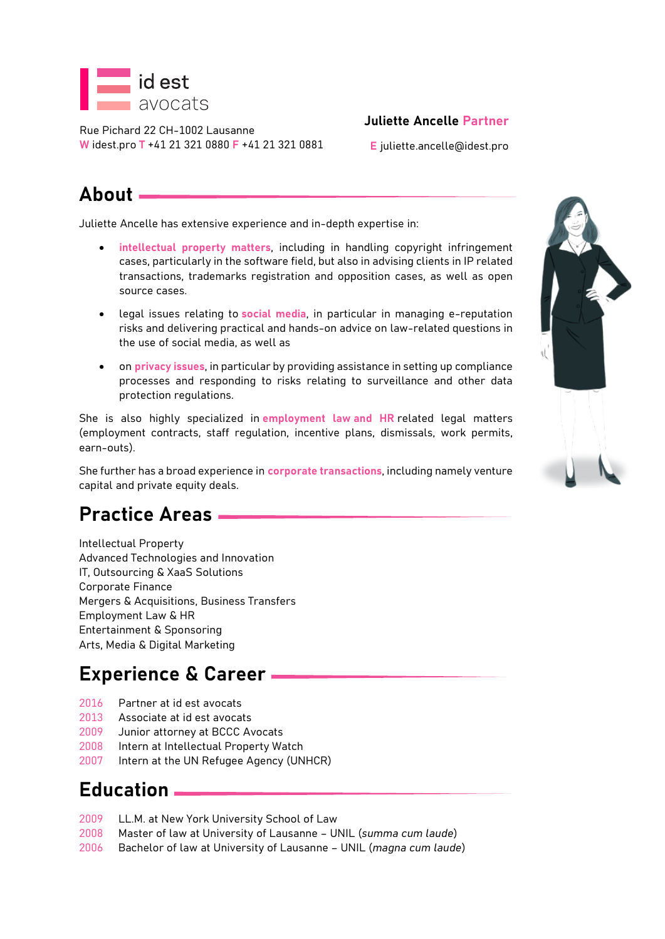

Rue Pichard 22 CH-1002 Lausanne **W** idest.pro **T** +41 21 321 0880 **F** +41 21 321 0881

#### **Juliette Ancelle Partner**

**E** juliette.ancelle@idest.pro

# **About**

Juliette Ancelle has extensive experience and in-depth expertise in:

- **intellectual property matters**, including in handling copyright infringement cases, particularly in the software field, but also in advising clients in IP related transactions, trademarks registration and opposition cases, as well as open source cases.
- legal issues relating to **social media**, in particular in managing e-reputation risks and delivering practical and hands-on advice on law-related questions in the use of social media, as well as
- on **privacy issues**, in particular by providing assistance in setting up compliance processes and responding to risks relating to surveillance and other data protection regulations.

She is also highly specialized in **employment law and HR** related legal matters (employment contracts, staff regulation, incentive plans, dismissals, work permits, earn-outs).

She further has a broad experience in **corporate transactions**, including namely venture capital and private equity deals.

# **Practice Areas**

Intellectual Property Advanced Technologies and Innovation IT, Outsourcing & XaaS Solutions Corporate Finance Mergers & Acquisitions, Business Transfers Employment Law & HR Entertainment & Sponsoring Arts, Media & Digital Marketing

## **Experience & Career**

- 2016 Partner at id est avocats
- 2013 Associate at id est avocats
- 2009 Junior attorney at BCCC Avocats
- 2008 Intern at Intellectual Property Watch
- 2007 Intern at the UN Refugee Agency (UNHCR)

### **Education**

- 2009 LL.M. at New York University School of Law
- 2008 Master of law at University of Lausanne UNIL (*summa cum laude*)
- 2006 Bachelor of law at University of Lausanne UNIL (*magna cum laude*)